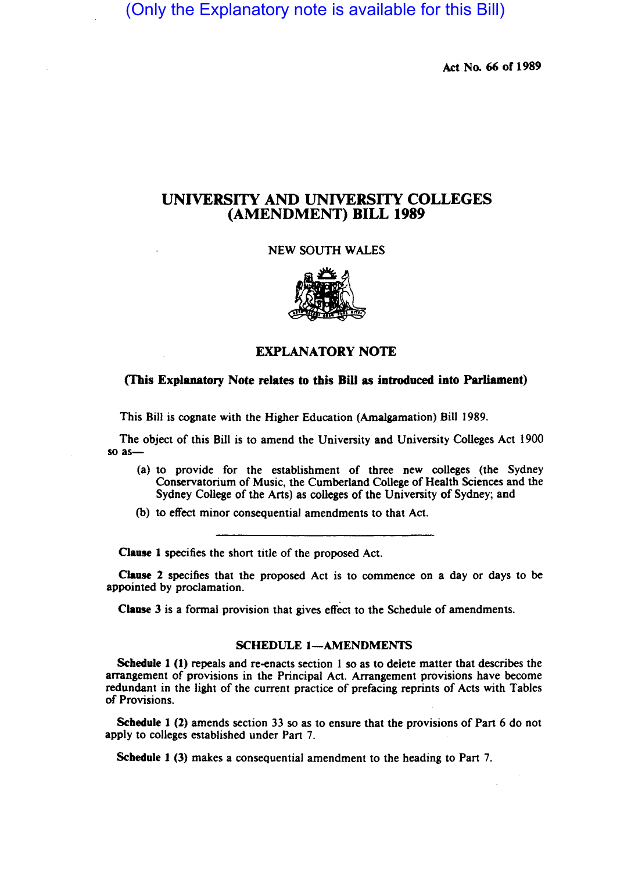(Only the Explanatory note is available for this Bill)

Act No. 66 of 1989

# UNIVERSITY AND UNIVERSITY COLLEGES (AMENDMENT) BILL 1989

NEW SOUTH WALES



# EXPLANATORY NOTE

### (This Explanatory Note relates to this Bill as introduced into Parliament)

This Bill is cognate with the Higher Education (Amalgamation) Bill 1989.

The object of this Bill is to amend the University and University Colleges Act 1900 so as-

- (a) to provide for the establishment of three new colleges (the Sydney Conservatorium of Music, the Cumberland College of Health Sciences and the Sydney College of the Arts) as colleges of the University of Sydney; and
- (b) to effect minor consequential amendments to that Act.

Clause 1 specifies the short title of the proposed Act.

Clause 2 specifies that the proposed Act is to commence on a day or days to be appointed by proclamation.

Clause  $3$  is a formal provision that gives effect to the Schedule of amendments.

#### SCHEDULE 1-AMENDMENTS

Schedule 1 (1) repeals and re-enacts section 1 so as to delete matter that describes the arrangement of provisions in the Principal Act. Arrangement provisions have become redundant in the light of the current practice of prefacing reprints of Acts with Tables of Provisions.

Schedule 1 (2) amends section 33 so as to ensure that the provisions of Part 6 do not apply to colleges established under Part 7.

Schedule 1 (3) makes a consequential amendment to the heading to Part 7.